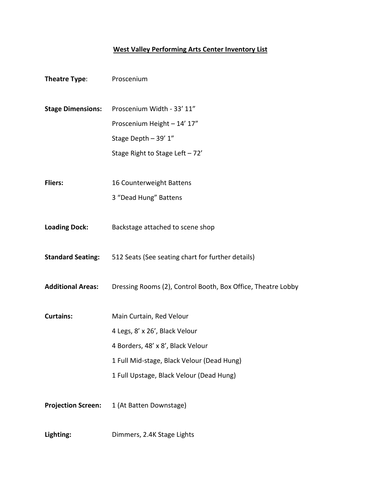## **West Valley Performing Arts Center Inventory List**

| Theatre Type:             | Proscenium                                                                 |  |  |  |
|---------------------------|----------------------------------------------------------------------------|--|--|--|
|                           |                                                                            |  |  |  |
| <b>Stage Dimensions:</b>  | Proscenium Width - 33' 11"                                                 |  |  |  |
|                           | Proscenium Height - 14' 17"                                                |  |  |  |
|                           | Stage Depth - 39' 1"                                                       |  |  |  |
|                           | Stage Right to Stage Left - 72'                                            |  |  |  |
| <b>Fliers:</b>            | 16 Counterweight Battens                                                   |  |  |  |
|                           | 3 "Dead Hung" Battens                                                      |  |  |  |
| <b>Loading Dock:</b>      | Backstage attached to scene shop                                           |  |  |  |
|                           | <b>Standard Seating:</b> 512 Seats (See seating chart for further details) |  |  |  |
| <b>Additional Areas:</b>  | Dressing Rooms (2), Control Booth, Box Office, Theatre Lobby               |  |  |  |
| <b>Curtains:</b>          | Main Curtain, Red Velour                                                   |  |  |  |
|                           | 4 Legs, 8' x 26', Black Velour                                             |  |  |  |
|                           | 4 Borders, 48' x 8', Black Velour                                          |  |  |  |
|                           | 1 Full Mid-stage, Black Velour (Dead Hung)                                 |  |  |  |
|                           | 1 Full Upstage, Black Velour (Dead Hung)                                   |  |  |  |
| <b>Projection Screen:</b> | 1 (At Batten Downstage)                                                    |  |  |  |
| Lighting:                 | Dimmers, 2.4K Stage Lights                                                 |  |  |  |